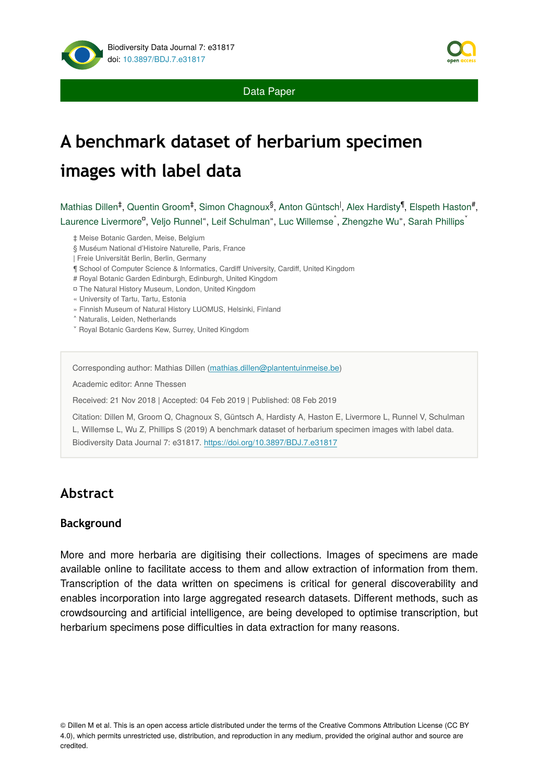

Data Paper

# **A benchmark dataset of herbarium specimen images with label data**

Mathias Dillen<sup>‡</sup>, Quentin Groom<sup>‡</sup>, Simon Chagnoux<sup>§</sup>, Anton Güntsch<sup>|</sup>, Alex Hardisty<sup>¶</sup>, Elspeth Haston<sup>#</sup>, Laurence Livermore<sup>a</sup>, Veljo Runnel", Leif Schulman", Luc Willemse<sup>^</sup>, Zhengzhe Wu", Sarah Phillips<sup>\*</sup>

- ‡ Meise Botanic Garden, Meise, Belgium
- § Muséum National d'Histoire Naturelle, Paris, France
- | Freie Universität Berlin, Berlin, Germany
- ¶ School of Computer Science & Informatics, Cardiff University, Cardiff, United Kingdom
- # Royal Botanic Garden Edinburgh, Edinburgh, United Kingdom
- ¤ The Natural History Museum, London, United Kingdom
- « University of Tartu, Tartu, Estonia
- » Finnish Museum of Natural History LUOMUS, Helsinki, Finland
- ˄ Naturalis, Leiden, Netherlands
- ˅ Royal Botanic Gardens Kew, Surrey, United Kingdom

Corresponding author: Mathias Dillen [\(mathias.dillen@plantentuinmeise.be\)](mailto:mathias.dillen@plantentuinmeise.be)

Academic editor: Anne Thessen

Received: 21 Nov 2018 | Accepted: 04 Feb 2019 | Published: 08 Feb 2019

Citation: Dillen M, Groom Q, Chagnoux S, Güntsch A, Hardisty A, Haston E, Livermore L, Runnel V, Schulman L, Willemse L, Wu Z, Phillips S (2019) A benchmark dataset of herbarium specimen images with label data. Biodiversity Data Journal 7: e31817.<https://doi.org/10.3897/BDJ.7.e31817>

## **Abstract**

### **Background**

More and more herbaria are digitising their collections. Images of specimens are made available online to facilitate access to them and allow extraction of information from them. Transcription of the data written on specimens is critical for general discoverability and enables incorporation into large aggregated research datasets. Different methods, such as crowdsourcing and artificial intelligence, are being developed to optimise transcription, but herbarium specimens pose difficulties in data extraction for many reasons.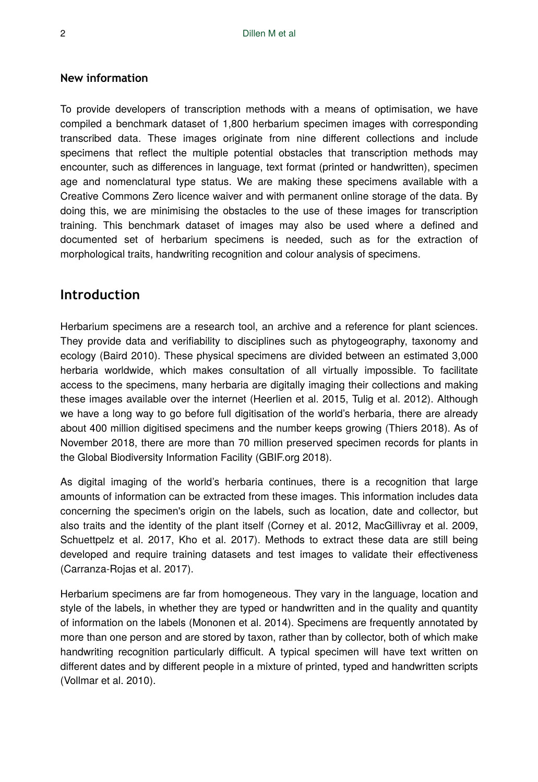### **New information**

To provide developers of transcription methods with a means of optimisation, we have compiled a benchmark dataset of 1,800 herbarium specimen images with corresponding transcribed data. These images originate from nine different collections and include specimens that reflect the multiple potential obstacles that transcription methods may encounter, such as differences in language, text format (printed or handwritten), specimen age and nomenclatural type status. We are making these specimens available with a Creative Commons Zero licence waiver and with permanent online storage of the data. By doing this, we are minimising the obstacles to the use of these images for transcription training. This benchmark dataset of images may also be used where a defined and documented set of herbarium specimens is needed, such as for the extraction of morphological traits, handwriting recognition and colour analysis of specimens.

### **Introduction**

Herbarium specimens are a research tool, an archive and a reference for plant sciences. They provide data and verifiability to disciplines such as phytogeography, taxonomy and ecology (Baird 2010). These physical specimens are divided between an estimated 3,000 herbaria worldwide, which makes consultation of all virtually impossible. To facilitate access to the specimens, many herbaria are digitally imaging their collections and making these images available over the internet (Heerlien et al. 2015, Tulig et al. 2012). Although we have a long way to go before full digitisation of the world's herbaria, there are already about 400 million digitised specimens and the number keeps growing (Thiers 2018). As of November 2018, there are more than 70 million preserved specimen records for plants in the Global Biodiversity Information Facility (GBIF.org 2018).

As digital imaging of the world's herbaria continues, there is a recognition that large amounts of information can be extracted from these images. This information includes data concerning the specimen's origin on the labels, such as location, date and collector, but also traits and the identity of the plant itself (Corney et al. 2012, MacGillivray et al. 2009, Schuettpelz et al. 2017, Kho et al. 2017). Methods to extract these data are still being developed and require training datasets and test images to validate their effectiveness (Carranza-Rojas et al. 2017).

Herbarium specimens are far from homogeneous. They vary in the language, location and style of the labels, in whether they are typed or handwritten and in the quality and quantity of information on the labels (Mononen et al. 2014). Specimens are frequently annotated by more than one person and are stored by taxon, rather than by collector, both of which make handwriting recognition particularly difficult. A typical specimen will have text written on different dates and by different people in a mixture of printed, typed and handwritten scripts (Vollmar et al. 2010).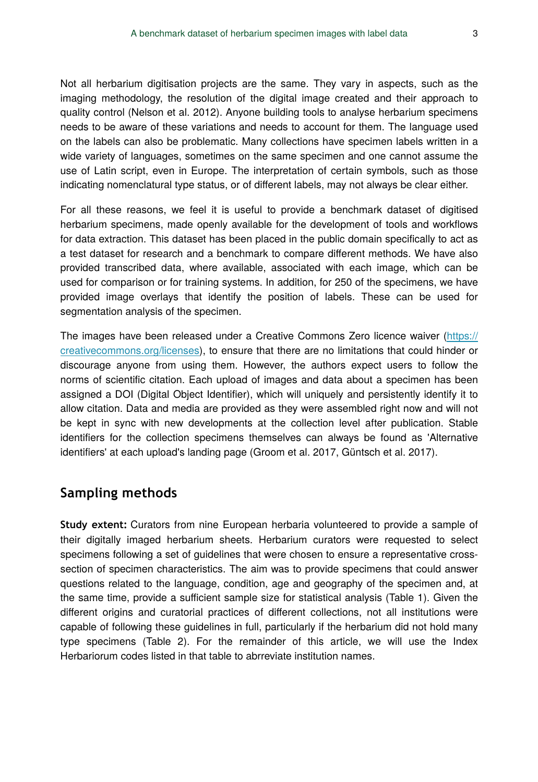Not all herbarium digitisation projects are the same. They vary in aspects, such as the imaging methodology, the resolution of the digital image created and their approach to quality control (Nelson et al. 2012). Anyone building tools to analyse herbarium specimens needs to be aware of these variations and needs to account for them. The language used on the labels can also be problematic. Many collections have specimen labels written in a wide variety of languages, sometimes on the same specimen and one cannot assume the use of Latin script, even in Europe. The interpretation of certain symbols, such as those indicating nomenclatural type status, or of different labels, may not always be clear either.

For all these reasons, we feel it is useful to provide a benchmark dataset of digitised herbarium specimens, made openly available for the development of tools and workflows for data extraction. This dataset has been placed in the public domain specifically to act as a test dataset for research and a benchmark to compare different methods. We have also provided transcribed data, where available, associated with each image, which can be used for comparison or for training systems. In addition, for 250 of the specimens, we have provided image overlays that identify the position of labels. These can be used for segmentation analysis of the specimen.

The images have been released under a Creative Commons Zero licence waiver [\(https://](https://creativecommons.org/licenses) [creativecommons.org/licenses](https://creativecommons.org/licenses)), to ensure that there are no limitations that could hinder or discourage anyone from using them. However, the authors expect users to follow the norms of scientific citation. Each upload of images and data about a specimen has been assigned a DOI (Digital Object Identifier), which will uniquely and persistently identify it to allow citation. Data and media are provided as they were assembled right now and will not be kept in sync with new developments at the collection level after publication. Stable identifiers for the collection specimens themselves can always be found as 'Alternative identifiers' at each upload's landing page (Groom et al. 2017, Güntsch et al. 2017).

### **Sampling methods**

**Study extent:** Curators from nine European herbaria volunteered to provide a sample of their digitally imaged herbarium sheets. Herbarium curators were requested to select specimens following a set of guidelines that were chosen to ensure a representative crosssection of specimen characteristics. The aim was to provide specimens that could answer questions related to the language, condition, age and geography of the specimen and, at the same time, provide a sufficient sample size for statistical analysis (Table 1). Given the different origins and curatorial practices of different collections, not all institutions were capable of following these guidelines in full, particularly if the herbarium did not hold many type specimens (Table 2). For the remainder of this article, we will use the Index Herbariorum codes listed in that table to abrreviate institution names.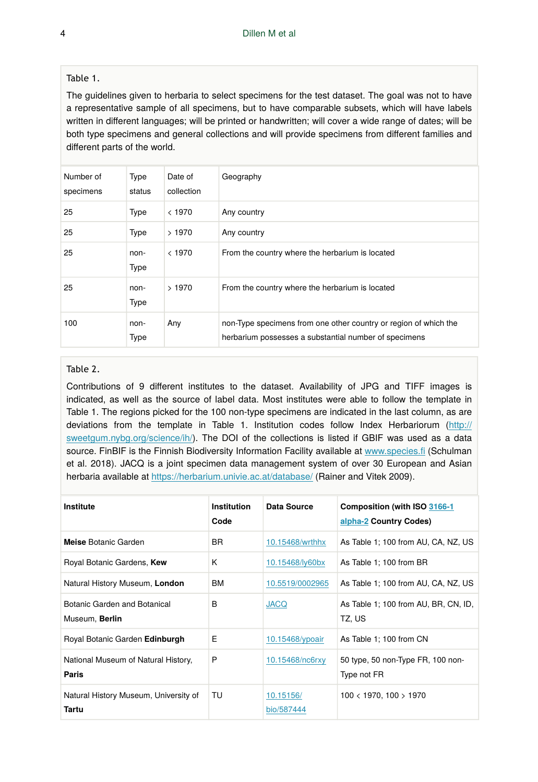#### Table 1.

The guidelines given to herbaria to select specimens for the test dataset. The goal was not to have a representative sample of all specimens, but to have comparable subsets, which will have labels written in different languages; will be printed or handwritten; will cover a wide range of dates; will be both type specimens and general collections and will provide specimens from different families and different parts of the world.

| Number of<br>specimens | Type<br>status      | Date of<br>collection | Geography                                                                                                                 |
|------------------------|---------------------|-----------------------|---------------------------------------------------------------------------------------------------------------------------|
| 25                     | Type                | < 1970                | Any country                                                                                                               |
| 25                     | Type                | >1970                 | Any country                                                                                                               |
| 25                     | non-<br>Type        | < 1970                | From the country where the herbarium is located                                                                           |
| 25                     | non-<br><b>Type</b> | >1970                 | From the country where the herbarium is located                                                                           |
| 100                    | non-<br>Type        | Any                   | non-Type specimens from one other country or region of which the<br>herbarium possesses a substantial number of specimens |

#### Table 2.

Contributions of 9 different institutes to the dataset. Availability of JPG and TIFF images is indicated, as well as the source of label data. Most institutes were able to follow the template in Table 1. The regions picked for the 100 non-type specimens are indicated in the last column, as are deviations from the template in Table 1. Institution codes follow Index Herbariorum [\(http://](http://sweetgum.nybg.org/science/ih/) [sweetgum.nybg.org/science/ih/](http://sweetgum.nybg.org/science/ih/)). The DOI of the collections is listed if GBIF was used as a data source. FinBIF is the Finnish Biodiversity Information Facility available at [www.species.](http://www.species.fi)fi (Schulman et al. 2018). JACQ is a joint specimen data management system of over 30 European and Asian herbaria available at <https://herbarium.univie.ac.at/database/>(Rainer and Vitek 2009).

| Institute                                             | Institution<br>Code | Data Source             | Composition (with ISO 3166-1<br>alpha-2 Country Codes) |
|-------------------------------------------------------|---------------------|-------------------------|--------------------------------------------------------|
| Meise Botanic Garden                                  | BR.                 | 10.15468/wrthhx         | As Table 1: 100 from AU, CA, NZ, US                    |
| Royal Botanic Gardens, Kew                            | K                   | 10.15468/ly60bx         | As Table 1: 100 from BR                                |
| Natural History Museum, London                        | <b>BM</b>           | 10.5519/0002965         | As Table 1: 100 from AU, CA, NZ, US                    |
| Botanic Garden and Botanical<br>Museum, Berlin        | B                   | <b>JACQ</b>             | As Table 1: 100 from AU, BR, CN, ID,<br>TZ, US         |
| Royal Botanic Garden Edinburgh                        | E                   | 10.15468/ypoair         | As Table 1: 100 from CN                                |
| National Museum of Natural History,<br>Paris          | P                   | 10.15468/nc6rxy         | 50 type, 50 non-Type FR, 100 non-<br>Type not FR       |
| Natural History Museum, University of<br><b>Tartu</b> | TU                  | 10.15156/<br>bio/587444 | $100 < 1970$ , $100 > 1970$                            |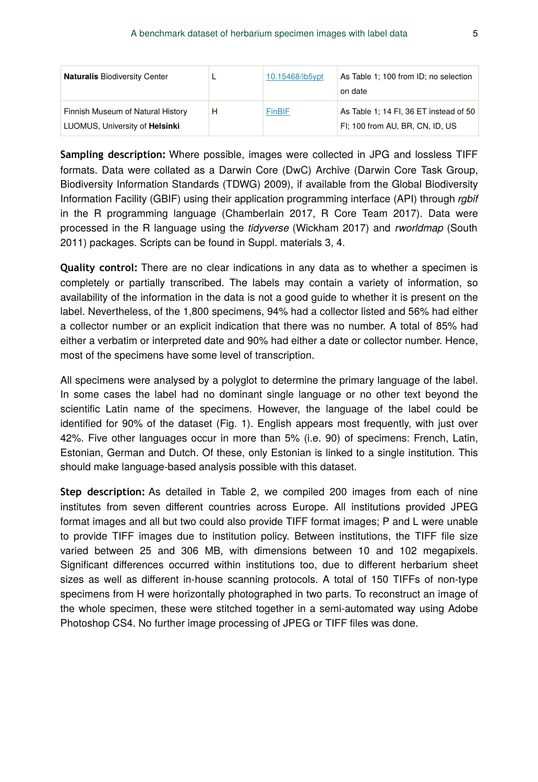| <b>Naturalis Biodiversity Center</b>                                |   | 10.15468/ib5ypt | As Table 1; 100 from ID; no selection<br>on date                          |
|---------------------------------------------------------------------|---|-----------------|---------------------------------------------------------------------------|
| Finnish Museum of Natural History<br>LUOMUS, University of Helsinki | н | FinBIF          | As Table 1: 14 FI, 36 ET instead of 50<br>FI; 100 from AU, BR, CN, ID, US |

**Sampling description:** Where possible, images were collected in JPG and lossless TIFF formats. Data were collated as a Darwin Core (DwC) Archive (Darwin Core Task Group, Biodiversity Information Standards (TDWG) 2009), if available from the Global Biodiversity Information Facility (GBIF) using their application programming interface (API) through *rgbif* in the R programming language (Chamberlain 2017, R Core Team 2017). Data were processed in the R language using the *tidyverse* (Wickham 2017) and *rworldmap* (South 2011) packages. Scripts can be found in Suppl. materials 3, 4.

**Quality control:** There are no clear indications in any data as to whether a specimen is completely or partially transcribed. The labels may contain a variety of information, so availability of the information in the data is not a good guide to whether it is present on the label. Nevertheless, of the 1,800 specimens, 94% had a collector listed and 56% had either a collector number or an explicit indication that there was no number. A total of 85% had either a verbatim or interpreted date and 90% had either a date or collector number. Hence, most of the specimens have some level of transcription.

All specimens were analysed by a polyglot to determine the primary language of the label. In some cases the label had no dominant single language or no other text beyond the scientific Latin name of the specimens. However, the language of the label could be identified for 90% of the dataset (Fig. 1). English appears most frequently, with just over 42%. Five other languages occur in more than 5% (i.e. 90) of specimens: French, Latin, Estonian, German and Dutch. Of these, only Estonian is linked to a single institution. This should make language-based analysis possible with this dataset.

**Step description:** As detailed in Table 2, we compiled 200 images from each of nine institutes from seven different countries across Europe. All institutions provided JPEG format images and all but two could also provide TIFF format images; P and L were unable to provide TIFF images due to institution policy. Between institutions, the TIFF file size varied between 25 and 306 MB, with dimensions between 10 and 102 megapixels. Significant differences occurred within institutions too, due to different herbarium sheet sizes as well as different in-house scanning protocols. A total of 150 TIFFs of non-type specimens from H were horizontally photographed in two parts. To reconstruct an image of the whole specimen, these were stitched together in a semi-automated way using Adobe Photoshop CS4. No further image processing of JPEG or TIFF files was done.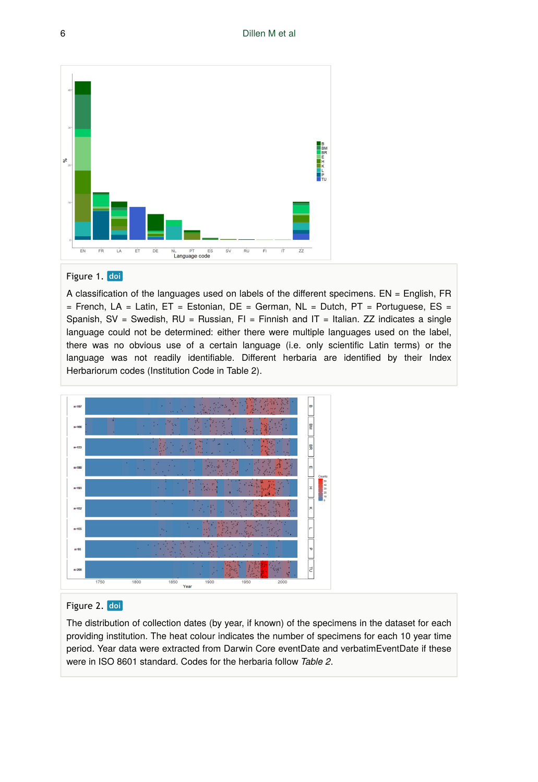

#### Figure 1. doi

A classification of the languages used on labels of the different specimens. EN = English, FR  $=$  French, LA = Latin, ET = Estonian, DE = German, NL = Dutch, PT = Portuguese, ES = Spanish, SV = Swedish, RU = Russian, FI = Finnish and IT = Italian. ZZ indicates a single language could not be determined: either there were multiple languages used on the label, there was no obvious use of a certain language (i.e. only scientific Latin terms) or the language was not readily identifiable. Different herbaria are identified by their Index Herbariorum codes (Institution Code in Table 2).



### Figure 2. doi

The distribution of collection dates (by year, if known) of the specimens in the dataset for each providing institution. The heat colour indicates the number of specimens for each 10 year time period. Year data were extracted from Darwin Core eventDate and verbatimEventDate if these were in ISO 8601 standard. Codes for the herbaria follow *Table 2*.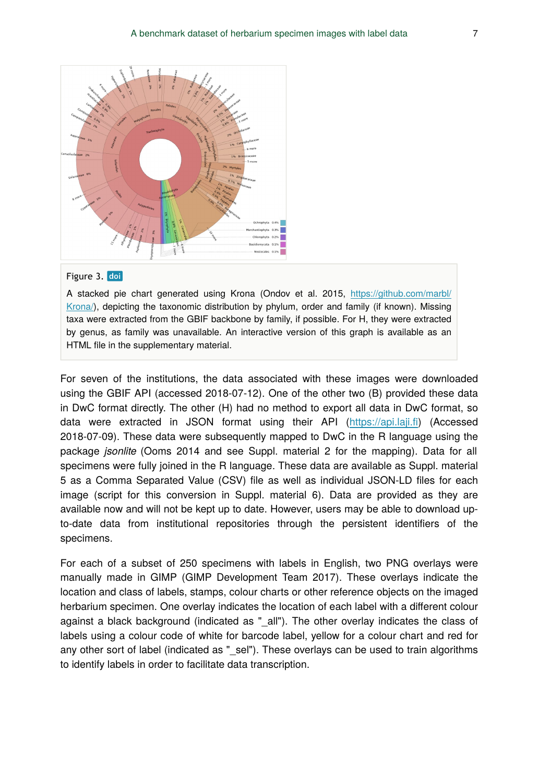

#### Figure 3. doi

A stacked pie chart generated using Krona (Ondov et al. 2015, [https://github.com/marbl/](https://github.com/marbl/Krona/) [Krona/](https://github.com/marbl/Krona/)), depicting the taxonomic distribution by phylum, order and family (if known). Missing taxa were extracted from the GBIF backbone by family, if possible. For H, they were extracted by genus, as family was unavailable. An interactive version of this graph is available as an HTML file in the supplementary material.

For seven of the institutions, the data associated with these images were downloaded using the GBIF API (accessed 2018-07-12). One of the other two (B) provided these data in DwC format directly. The other (H) had no method to export all data in DwC format, so data were extracted in JSON format using their API ([https://api.laji.](https://api.laji.fi)fi) (Accessed 2018-07-09). These data were subsequently mapped to DwC in the R language using the package *jsonlite* (Ooms 2014 and see Suppl. material 2 for the mapping). Data for all specimens were fully joined in the R language. These data are available as Suppl. material 5 as a Comma Separated Value (CSV) file as well as individual JSON-LD files for each image (script for this conversion in Suppl. material 6). Data are provided as they are available now and will not be kept up to date. However, users may be able to download upto-date data from institutional repositories through the persistent identifiers of the specimens.

For each of a subset of 250 specimens with labels in English, two PNG overlays were manually made in GIMP (GIMP Development Team 2017). These overlays indicate the location and class of labels, stamps, colour charts or other reference objects on the imaged herbarium specimen. One overlay indicates the location of each label with a different colour against a black background (indicated as "\_all"). The other overlay indicates the class of labels using a colour code of white for barcode label, yellow for a colour chart and red for any other sort of label (indicated as " sel"). These overlays can be used to train algorithms to identify labels in order to facilitate data transcription.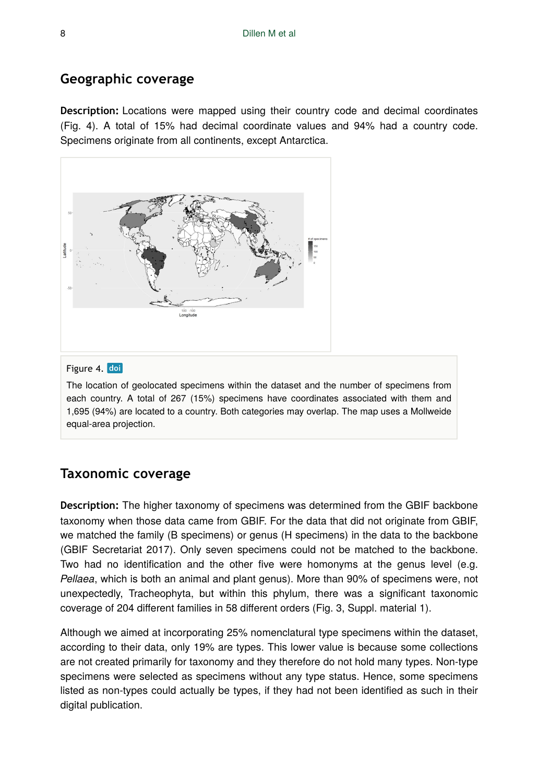### **Geographic coverage**

**Description:** Locations were mapped using their country code and decimal coordinates (Fig. 4). A total of 15% had decimal coordinate values and 94% had a country code. Specimens originate from all continents, except Antarctica.



### Figure 4. doi

The location of geolocated specimens within the dataset and the number of specimens from each country. A total of 267 (15%) specimens have coordinates associated with them and 1,695 (94%) are located to a country. Both categories may overlap. The map uses a Mollweide equal-area projection.

### **Taxonomic coverage**

**Description:** The higher taxonomy of specimens was determined from the GBIF backbone taxonomy when those data came from GBIF. For the data that did not originate from GBIF, we matched the family (B specimens) or genus (H specimens) in the data to the backbone (GBIF Secretariat 2017). Only seven specimens could not be matched to the backbone. Two had no identification and the other five were homonyms at the genus level (e.g. *Pellaea*, which is both an animal and plant genus). More than 90% of specimens were, not unexpectedly, Tracheophyta, but within this phylum, there was a significant taxonomic coverage of 204 different families in 58 different orders (Fig. 3, Suppl. material 1).

Although we aimed at incorporating 25% nomenclatural type specimens within the dataset, according to their data, only 19% are types. This lower value is because some collections are not created primarily for taxonomy and they therefore do not hold many types. Non-type specimens were selected as specimens without any type status. Hence, some specimens listed as non-types could actually be types, if they had not been identified as such in their digital publication.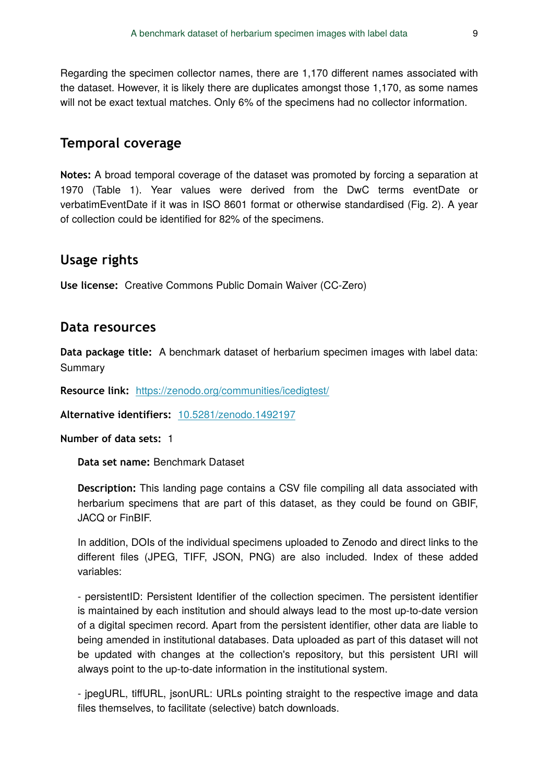Regarding the specimen collector names, there are 1,170 different names associated with the dataset. However, it is likely there are duplicates amongst those 1,170, as some names will not be exact textual matches. Only 6% of the specimens had no collector information.

### **Temporal coverage**

**Notes:** A broad temporal coverage of the dataset was promoted by forcing a separation at 1970 (Table 1). Year values were derived from the DwC terms eventDate or verbatimEventDate if it was in ISO 8601 format or otherwise standardised (Fig. 2). A year of collection could be identified for 82% of the specimens.

### **Usage rights**

**Use license:** Creative Commons Public Domain Waiver (CC-Zero)

### **Data resources**

**Data package title:** A benchmark dataset of herbarium specimen images with label data: Summary

**Resource link:** <https://zenodo.org/communities/icedigtest/>

**Alternative identifiers:** [10.5281/zenodo.1492197](https://doi.org/10.5281/zenodo.1492197)

**Number of data sets:** 1

**Data set name:** Benchmark Dataset

**Description:** This landing page contains a CSV file compiling all data associated with herbarium specimens that are part of this dataset, as they could be found on GBIF, JACQ or FinBIF.

In addition, DOIs of the individual specimens uploaded to Zenodo and direct links to the different files (JPEG, TIFF, JSON, PNG) are also included. Index of these added variables:

- persistentID: Persistent Identifier of the collection specimen. The persistent identifier is maintained by each institution and should always lead to the most up-to-date version of a digital specimen record. Apart from the persistent identifier, other data are liable to being amended in institutional databases. Data uploaded as part of this dataset will not be updated with changes at the collection's repository, but this persistent URI will always point to the up-to-date information in the institutional system.

- jpegURL, tiffURL, jsonURL: URLs pointing straight to the respective image and data files themselves, to facilitate (selective) batch downloads.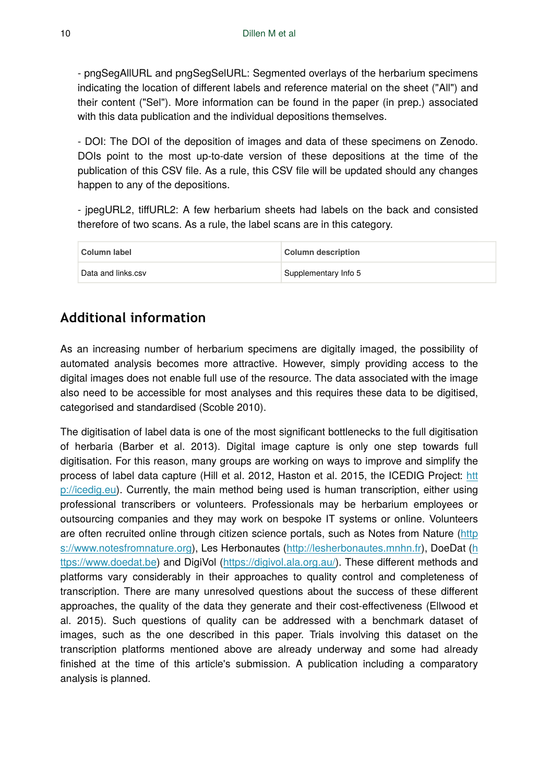- pngSegAllURL and pngSegSelURL: Segmented overlays of the herbarium specimens indicating the location of different labels and reference material on the sheet ("All") and their content ("Sel"). More information can be found in the paper (in prep.) associated with this data publication and the individual depositions themselves.

- DOI: The DOI of the deposition of images and data of these specimens on Zenodo. DOIs point to the most up-to-date version of these depositions at the time of the publication of this CSV file. As a rule, this CSV file will be updated should any changes happen to any of the depositions.

- jpegURL2, tiffURL2: A few herbarium sheets had labels on the back and consisted therefore of two scans. As a rule, the label scans are in this category.

| Column label       | Column description   |  |
|--------------------|----------------------|--|
| Data and links.csv | Supplementary Info 5 |  |

# **Additional information**

As an increasing number of herbarium specimens are digitally imaged, the possibility of automated analysis becomes more attractive. However, simply providing access to the digital images does not enable full use of the resource. The data associated with the image also need to be accessible for most analyses and this requires these data to be digitised, categorised and standardised (Scoble 2010).

The digitisation of label data is one of the most significant bottlenecks to the full digitisation of herbaria (Barber et al. 2013). Digital image capture is only one step towards full digitisation. For this reason, many groups are working on ways to improve and simplify the process of label data capture (Hill et al. 2012, Haston et al. 2015, the ICEDIG Project: [htt](http://icedig.eu) [p://icedig.eu\)](http://icedig.eu). Currently, the main method being used is human transcription, either using professional transcribers or volunteers. Professionals may be herbarium employees or outsourcing companies and they may work on bespoke IT systems or online. Volunteers are often recruited online through citizen science portals, such as Notes from Nature [\(http](https://www.notesfromnature.org) [s://www.notesfromnature.org\)](https://www.notesfromnature.org), Les Herbonautes [\(http://lesherbonautes.mnhn.fr\)](http://lesherbonautes.mnhn.fr), DoeDat [\(h](https://www.doedat.be) [ttps://www.doedat.be](https://www.doedat.be)) and DigiVol (<https://digivol.ala.org.au/>). These different methods and platforms vary considerably in their approaches to quality control and completeness of transcription. There are many unresolved questions about the success of these different approaches, the quality of the data they generate and their cost-effectiveness (Ellwood et al. 2015). Such questions of quality can be addressed with a benchmark dataset of images, such as the one described in this paper. Trials involving this dataset on the transcription platforms mentioned above are already underway and some had already finished at the time of this article's submission. A publication including a comparatory analysis is planned.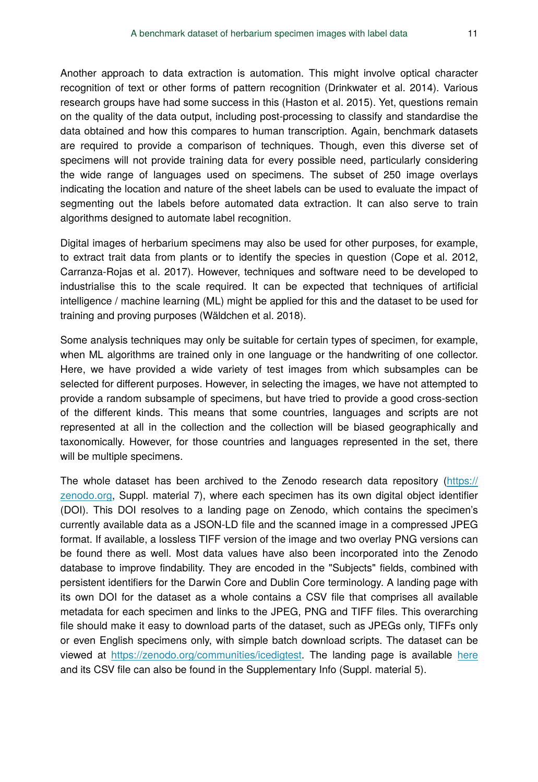Another approach to data extraction is automation. This might involve optical character recognition of text or other forms of pattern recognition (Drinkwater et al. 2014). Various research groups have had some success in this (Haston et al. 2015). Yet, questions remain on the quality of the data output, including post-processing to classify and standardise the data obtained and how this compares to human transcription. Again, benchmark datasets are required to provide a comparison of techniques. Though, even this diverse set of specimens will not provide training data for every possible need, particularly considering the wide range of languages used on specimens. The subset of 250 image overlays indicating the location and nature of the sheet labels can be used to evaluate the impact of segmenting out the labels before automated data extraction. It can also serve to train algorithms designed to automate label recognition.

Digital images of herbarium specimens may also be used for other purposes, for example, to extract trait data from plants or to identify the species in question (Cope et al. 2012, Carranza-Rojas et al. 2017). However, techniques and software need to be developed to industrialise this to the scale required. It can be expected that techniques of artificial intelligence / machine learning (ML) might be applied for this and the dataset to be used for training and proving purposes (Wäldchen et al. 2018).

Some analysis techniques may only be suitable for certain types of specimen, for example, when ML algorithms are trained only in one language or the handwriting of one collector. Here, we have provided a wide variety of test images from which subsamples can be selected for different purposes. However, in selecting the images, we have not attempted to provide a random subsample of specimens, but have tried to provide a good cross-section of the different kinds. This means that some countries, languages and scripts are not represented at all in the collection and the collection will be biased geographically and taxonomically. However, for those countries and languages represented in the set, there will be multiple specimens.

The whole dataset has been archived to the Zenodo research data repository [\(https://](https://zenodo.org) [zenodo.org](https://zenodo.org), Suppl. material 7), where each specimen has its own digital object identifier (DOI). This DOI resolves to a landing page on Zenodo, which contains the specimen's currently available data as a JSON-LD file and the scanned image in a compressed JPEG format. If available, a lossless TIFF version of the image and two overlay PNG versions can be found there as well. Most data values have also been incorporated into the Zenodo database to improve findability. They are encoded in the "Subjects" fields, combined with persistent identifiers for the Darwin Core and Dublin Core terminology. A landing page with its own DOI for the dataset as a whole contains a CSV file that comprises all available metadata for each specimen and links to the JPEG, PNG and TIFF files. This overarching file should make it easy to download parts of the dataset, such as JPEGs only, TIFFs only or even English specimens only, with simple batch download scripts. The dataset can be viewed at <https://zenodo.org/communities/icedigtest>. The landing page is available [here](https://zenodo.org/record/1492197) and its CSV file can also be found in the Supplementary Info (Suppl. material 5).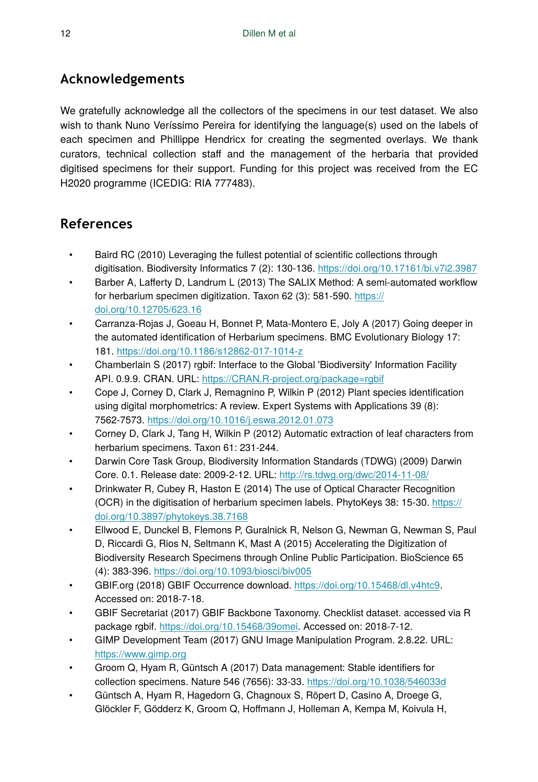# **Acknowledgements**

We gratefully acknowledge all the collectors of the specimens in our test dataset. We also wish to thank Nuno Veríssimo Pereira for identifying the language(s) used on the labels of each specimen and Phillippe Hendricx for creating the segmented overlays. We thank curators, technical collection staff and the management of the herbaria that provided digitised specimens for their support. Funding for this project was received from the EC H2020 programme (ICEDIG: RIA 777483).

# **References**

- Baird RC (2010) Leveraging the fullest potential of scientific collections through digitisation. Biodiversity Informatics 7 (2): 130-136.<https://doi.org/10.17161/bi.v7i2.3987>
- Barber A, Lafferty D, Landrum L (2013) The SALIX Method: A semi-automated workflow for herbarium specimen digitization. Taxon 62 (3): 581-590. [https://](https://doi.org/10.12705/623.16) [doi.org/10.12705/623.16](https://doi.org/10.12705/623.16)
- Carranza-Rojas J, Goeau H, Bonnet P, Mata-Montero E, Joly A (2017) Going deeper in the automated identification of Herbarium specimens. BMC Evolutionary Biology 17: 181.<https://doi.org/10.1186/s12862-017-1014-z>
- Chamberlain S (2017) rgbif: Interface to the Global 'Biodiversity' Information Facility API. 0.9.9. CRAN. URL: <https://CRAN.R-project.org/package=rgbif>
- Cope J, Corney D, Clark J, Remagnino P, Wilkin P (2012) Plant species identification using digital morphometrics: A review. Expert Systems with Applications 39 (8): 7562‑7573.<https://doi.org/10.1016/j.eswa.2012.01.073>
- Corney D, Clark J, Tang H, Wilkin P (2012) Automatic extraction of leaf characters from herbarium specimens. Taxon 61: 231‑244.
- Darwin Core Task Group, Biodiversity Information Standards (TDWG) (2009) Darwin Core. 0.1. Release date: 2009-2-12. URL: <http://rs.tdwg.org/dwc/2014-11-08/>
- Drinkwater R, Cubey R, Haston E (2014) The use of Optical Character Recognition (OCR) in the digitisation of herbarium specimen labels. PhytoKeys 38: 15‑30. [https://](https://doi.org/10.3897/phytokeys.38.7168) [doi.org/10.3897/phytokeys.38.7168](https://doi.org/10.3897/phytokeys.38.7168)
- Ellwood E, Dunckel B, Flemons P, Guralnick R, Nelson G, Newman G, Newman S, Paul D, Riccardi G, Rios N, Seltmann K, Mast A (2015) Accelerating the Digitization of Biodiversity Research Specimens through Online Public Participation. BioScience 65 (4): 383‑396. <https://doi.org/10.1093/biosci/biv005>
- GBIF.org (2018) GBIF Occurrence download. <https://doi.org/10.15468/dl.v4htc9>. Accessed on: 2018-7-18.
- GBIF Secretariat (2017) GBIF Backbone Taxonomy. Checklist dataset. accessed via R package rgbif. [https://doi.org/10.15468/39omei.](https://doi.org/10.15468/39omei) Accessed on: 2018-7-12.
- GIMP Development Team (2017) GNU Image Manipulation Program. 2.8.22. URL: <https://www.gimp.org>
- Groom Q, Hyam R, Güntsch A (2017) Data management: Stable identifiers for collection specimens. Nature 546 (7656): 33‑33. <https://doi.org/10.1038/546033d>
- Güntsch A, Hyam R, Hagedorn G, Chagnoux S, Röpert D, Casino A, Droege G, Glöckler F, Gödderz K, Groom Q, Hoffmann J, Holleman A, Kempa M, Koivula H,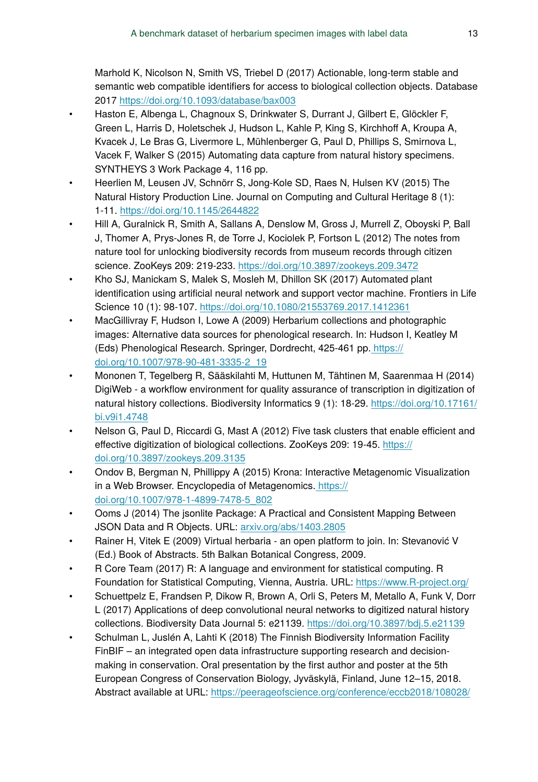Marhold K, Nicolson N, Smith VS, Triebel D (2017) Actionable, long-term stable and semantic web compatible identifiers for access to biological collection objects. Database 2017 <https://doi.org/10.1093/database/bax003>

- Haston E, Albenga L, Chagnoux S, Drinkwater S, Durrant J, Gilbert E, Glöckler F, Green L, Harris D, Holetschek J, Hudson L, Kahle P, King S, Kirchhoff A, Kroupa A, Kvacek J, Le Bras G, Livermore L, Mühlenberger G, Paul D, Phillips S, Smirnova L, Vacek F, Walker S (2015) Automating data capture from natural history specimens. SYNTHEYS 3 Work Package 4, 116 pp.
- Heerlien M, Leusen JV, Schnörr S, Jong-Kole SD, Raes N, Hulsen KV (2015) The Natural History Production Line. Journal on Computing and Cultural Heritage 8 (1): 1‑11.<https://doi.org/10.1145/2644822>
- Hill A, Guralnick R, Smith A, Sallans A, Denslow M, Gross J, Murrell Z, Oboyski P, Ball J, Thomer A, Prys-Jones R, de Torre J, Kociolek P, Fortson L (2012) The notes from nature tool for unlocking biodiversity records from museum records through citizen science. ZooKeys 209: 219‑233. <https://doi.org/10.3897/zookeys.209.3472>
- Kho SJ, Manickam S, Malek S, Mosleh M, Dhillon SK (2017) Automated plant identification using artificial neural network and support vector machine. Frontiers in Life Science 10 (1): 98‑107. <https://doi.org/10.1080/21553769.2017.1412361>
- MacGillivray F, Hudson I, Lowe A (2009) Herbarium collections and photographic images: Alternative data sources for phenological research. In: Hudson I, Keatley M (Eds) Phenological Research. Springer, Dordrecht, 425-461 pp[. https://](https://doi.org/10.1007/978-90-481-3335-2_19) [doi.org/10.1007/978-90-481-3335-2\\_19](https://doi.org/10.1007/978-90-481-3335-2_19)
- Mononen T, Tegelberg R, Sääskilahti M, Huttunen M, Tähtinen M, Saarenmaa H (2014) DigiWeb - a workflow environment for quality assurance of transcription in digitization of natural history collections. Biodiversity Informatics 9 (1): 18‑29. [https://doi.org/10.17161/](https://doi.org/10.17161/bi.v9i1.4748) [bi.v9i1.4748](https://doi.org/10.17161/bi.v9i1.4748)
- Nelson G, Paul D, Riccardi G, Mast A (2012) Five task clusters that enable efficient and effective digitization of biological collections. ZooKeys 209: 19-45. [https://](https://doi.org/10.3897/zookeys.209.3135) [doi.org/10.3897/zookeys.209.3135](https://doi.org/10.3897/zookeys.209.3135)
- Ondov B, Bergman N, Phillippy A (2015) Krona: Interactive Metagenomic Visualization in a Web Browser. Encyclopedia of Metagenomics[. https://](https://doi.org/10.1007/978-1-4899-7478-5_802) [doi.org/10.1007/978-1-4899-7478-5\\_802](https://doi.org/10.1007/978-1-4899-7478-5_802)
- Ooms J (2014) The jsonlite Package: A Practical and Consistent Mapping Between JSON Data and R Objects. URL: [arxiv.org/abs/1403.2805](http://arxiv.org/abs/1403.2805)
- Rainer H, Vitek E (2009) Virtual herbaria an open platform to join. In: Stevanović V (Ed.) Book of Abstracts. 5th Balkan Botanical Congress, 2009.
- R Core Team (2017) R: A language and environment for statistical computing. R Foundation for Statistical Computing, Vienna, Austria. URL:<https://www.R-project.org/>
- Schuettpelz E, Frandsen P, Dikow R, Brown A, Orli S, Peters M, Metallo A, Funk V, Dorr L (2017) Applications of deep convolutional neural networks to digitized natural history collections. Biodiversity Data Journal 5: e21139. <https://doi.org/10.3897/bdj.5.e21139>
- Schulman L, Juslén A, Lahti K (2018) The Finnish Biodiversity Information Facility FinBIF – an integrated open data infrastructure supporting research and decisionmaking in conservation. Oral presentation by the first author and poster at the 5th European Congress of Conservation Biology, Jyväskylä, Finland, June 12–15, 2018. Abstract available at URL:<https://peerageofscience.org/conference/eccb2018/108028/>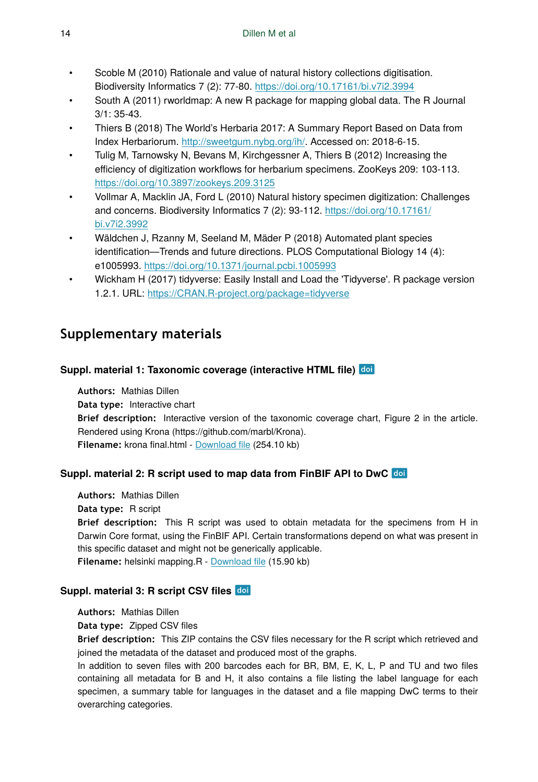- Scoble M (2010) Rationale and value of natural history collections digitisation. Biodiversity Informatics 7 (2): 77‑80. <https://doi.org/10.17161/bi.v7i2.3994>
- South A (2011) rworldmap: A new R package for mapping global data. The R Journal  $3/1: 35-43.$
- Thiers B (2018) The World's Herbaria 2017: A Summary Report Based on Data from Index Herbariorum. [http://sweetgum.nybg.org/ih/.](http://sweetgum.nybg.org/ih/) Accessed on: 2018-6-15.
- Tulig M, Tarnowsky N, Bevans M, Kirchgessner A, Thiers B (2012) Increasing the efficiency of digitization workflows for herbarium specimens. ZooKeys 209: 103-113. <https://doi.org/10.3897/zookeys.209.3125>
- Vollmar A, Macklin JA, Ford L (2010) Natural history specimen digitization: Challenges and concerns. Biodiversity Informatics 7 (2): 93‑112. [https://doi.org/10.17161/](https://doi.org/10.17161/bi.v7i2.3992) [bi.v7i2.3992](https://doi.org/10.17161/bi.v7i2.3992)
- Wäldchen J, Rzanny M, Seeland M, Mäder P (2018) Automated plant species identification—Trends and future directions. PLOS Computational Biology 14 (4): e1005993.<https://doi.org/10.1371/journal.pcbi.1005993>
- Wickham H (2017) tidyverse: Easily Install and Load the 'Tidyverse'. R package version 1.2.1. URL:<https://CRAN.R-project.org/package=tidyverse>

# **Supplementary materials**

### **Suppl. material 1: Taxonomic coverage (interactive HTML file)**

**Authors:** Mathias Dillen **Data type:** Interactive chart **Brief description:** Interactive version of the taxonomic coverage chart, Figure 2 in the article. Rendered using Krona (https://github.com/marbl/Krona). **Filename:** krona final.html - [Download](https://arpha.pensoft.net/getfile.php?filename=oo_224472.html) file (254.10 kb)

### **Suppl. material 2: R script used to map data from FinBIF API to DwC**

**Authors:** Mathias Dillen **Data type:** R script **Brief description:** This R script was used to obtain metadata for the specimens from H in Darwin Core format, using the FinBIF API. Certain transformations depend on what was present in this specific dataset and might not be generically applicable. **Filename:** helsinki mapping.R - [Download](https://arpha.pensoft.net/getfile.php?filename=oo_224474.R) file (15.90 kb)

### **Suppl. material 3: R script CSV files**

**Authors:** Mathias Dillen

**Data type:** Zipped CSV files

**Brief description:** This ZIP contains the CSV files necessary for the R script which retrieved and joined the metadata of the dataset and produced most of the graphs.

In addition to seven files with 200 barcodes each for BR, BM, E, K, L, P and TU and two files containing all metadata for B and H, it also contains a file listing the label language for each specimen, a summary table for languages in the dataset and a file mapping DwC terms to their overarching categories.